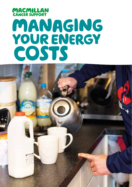# **MACMILLAN**<br>CANCER SUPPORT MANAGING<br>YOUR ENERGY **COSTS**

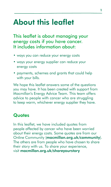# About this leaflet

This leaflet is about managing your energy costs if you have cancer. It includes information about:

- ways you can reduce your energy costs
- ways your energy supplier can reduce your energy costs
- payments, schemes and grants that could help with your bills.

We hope this leaflet answers some of the questions you may have. It has been created with support from Macmillan's Energy Advice Team. This team offers advice to people with cancer who are struggling to keep warm, whichever energy supplier they have.

### **Quotes**

In this leaflet, we have included quotes from people affected by cancer who have been worried about their energy costs. Some quotes are from our Online Community (macmillan.org.uk/community). The others are from people who have chosen to share their story with us. To share your experience, visit macmillan.org.uk/shareyourstory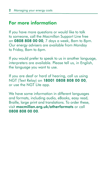# For more information

If you have more questions or would like to talk to someone, call the Macmillan Support Line free on 0808 808 00 00, 7 days a week, 8am to 8pm. Our energy advisers are available from Monday to Friday, 8am to 6pm.

If you would prefer to speak to us in another language, interpreters are available. Please tell us, in English, the language you want to use.

If you are deaf or hard of hearing, call us using NGT (Text Relay) on 18001 0808 808 00 00, or use the NGT Lite app.

We have some information in different languages and formats, including audio, eBooks, easy read, Braille, large print and translations. To order these, visit macmillan.org.uk/otherformats or call 0808 808 00 00.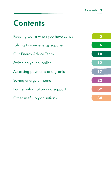# **Contents**

| Keeping warm when you have cancer | 5  |
|-----------------------------------|----|
| Talking to your energy supplier   | 6  |
| Our Energy Advice Team            | 10 |
| Switching your supplier           | 12 |
| Accessing payments and grants     | 17 |
| Saving energy at home             | 22 |
| Further information and support   | 32 |
| Other useful organisations        | 34 |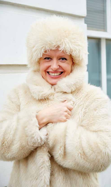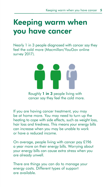# Keeping warm when you have cancer

Nearly 1 in 3 people diagnosed with cancer say they feel the cold more (Macmillan/YouGov online survey 2017).



Roughly 1 in 3 people living with cancer say they feel the cold more.

If you are having cancer treatment, you may be at home more. You may need to turn up the heating to cope with side effects, such as weight loss, hair loss and tiredness. This means your energy bills can increase when you may be unable to work or have a reduced income.

On average, people living with cancer pay £196 a year more on their energy bills. Worrying about your energy bills can cause extra stress when you are already unwell.

There are things you can do to manage your energy costs. Different types of support are available.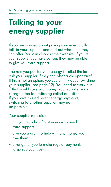# Talking to your energy supplier

If you are worried about paying your energy bills, talk to your supplier and find out what help they can offer. You can also visit their website. If you tell your supplier you have cancer, they may be able to give you extra support.

The rate you pay for your energy is called the tariff. Ask your supplier if they can offer a cheaper tariff. If this is not an option, you could think about switching your supplier (see page 12). You need to work out if that would save you money. Your supplier may charge a fee for switching called an exit fee. If you have missed recent energy payments, switching to another supplier may not be possible.

Your supplier may also:

- put you on a list of customers who need extra support
- give you a grant to help with any money you owe them
- arrange for you to make regular payments to spread your costs.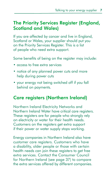# The Priority Services Register (England, Scotland and Wales)

If you are affected by cancer and live in England, Scotland or Wales, your supplier should put you on the Priority Services Register. This is a list of people who need extra support.

Some benefits of being on the register may include:

- access to free extra services
- notice of any planned power cuts and more help during power cuts
- your energy not being switched off if you fall behind on payments.

# Care registers (Northern Ireland)

Northern Ireland Electricity Networks and Northern Ireland Water have critical care registers. These registers are for people who strongly rely on electricity or water for their health needs. Customers on the registers get extra support if their power or water supply stops working.

Energy companies in Northern Ireland also have customer care registers. Customers who have a disability, older people or those with certain health needs can join these registers to get free extra services. Contact the Consumer Council for Northern Ireland (see page 37) to compare the extra services offered by different companies.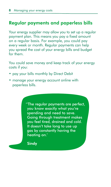# Regular payments and paperless bills

Your energy supplier may allow you to set up a regular payment plan. This means you pay a fixed amount on a regular basis. For example, you could pay every week or month. Regular payments can help you spread the cost of your energy bills and budget for them.

You could save money and keep track of your energy costs if you:

- pay your bills monthly by Direct Debit
- manage your energy account online with paperless bills.

''The regular payments are perfect, you know exactly what you're spending and need to save. Going through treatment makes you feel tired, drained and cold. It doesn't take long to use up gas by constantly having the heating on.'

Sindy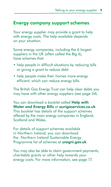### Energy company support schemes

Your energy supplier may provide a grant to help with energy costs. The help available depends on your situation.

Some energy companies, including the 6 largest suppliers in the UK (often called the Big 6), have schemes that:

- help people in difficult situations by reducing bills or giving a grant to reduce debt
- help people make their homes more energy efficient, which can reduce energy bills.

The British Gas Energy Trust can help clear debts you may have with other energy suppliers (see page 34).

You can download a booklet called **Help with** Water and Energy Bills at aurigaservices.co.uk This booklet has details of the support schemes offered by the main energy companies in England, Scotland and Wales.

For details of support schemes available in Northern Ireland, you can download the Northern Ireland Sustainable Energy Programme list of schemes at **uregni.gov.uk** 

You may also be able to claim government payments, charitable grants or other help towards your energy costs. For more information, see page 17.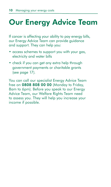# Our Energy Advice Team

If cancer is affecting your ability to pay energy bills, our Energy Advice Team can provide guidance and support. They can help you:

- access schemes to support you with your gas, electricity and water bills
- check if you can get any extra help through government payments or charitable grants (see page 17).

You can call our specialist Energy Advice Team free on 0808 808 00 00 (Monday to Friday, 8am to 6pm). Before you speak to our Energy Advice Team, our Welfare Rights Team need to assess you. They will help you increase your income if possible.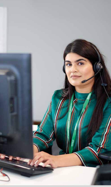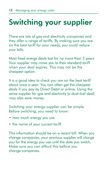# Switching your supplier

There are lots of gas and electricity companies and they offer a range of tariffs. By making sure you are on the best tariff for your needs, you could reduce your bills.

Most fixed energy deals last for no more than 3 years. Your supplier may move you to their standard tariff when your deal expires. This may not be the cheapest option.

It is a good idea to check you are on the best tariff about once a year. You can often get the cheapest deals if you pay by Direct Debit or online. Using the same supplier for gas and electricity (a dual-fuel deal) may also save money.

Switching your energy supplier can be simple. Before switching, you need to know:

- how much energy you use
- the name of your current tariff.

This information should be on a recent bill. When you change companies, your previous supplier will charge you for the energy you use until the date you switch. Make sure you can afford this before you change companies.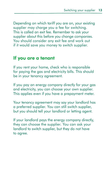Depending on which tariff you are on, your existing supplier may charge you a fee for switching. This is called an exit fee. Remember to ask your supplier about this before you change companies. You should consider any exit fee and work out if it would save you money to switch supplier.

#### If you are a tenant

If you rent your home, check who is responsible for paying the gas and electricity bills. This should be in your tenancy agreement.

If you pay an energy company directly for your gas and electricity, you can choose your own supplier. This applies even if you have a prepayment meter.

Your tenancy agreement may say your landlord has a preferred supplier. You can still switch supplier, but you should tell your landlord or letting agent.

If your landlord pays the energy company directly, they can choose the supplier. You can ask your landlord to switch supplier, but they do not have to agree.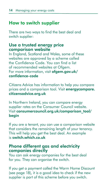# How to switch supplier

There are two ways to find the best deal and switch supplier:

#### Use a trusted energy price comparison website

In England, Scotland and Wales, some of these websites are approved by a scheme called the Confidence Code. You can find a list of recommended websites at Ofgem. For more information, visit **ofgem.gov.uk/** confidence-code

Citizens Advice has information to help you compare prices and a comparison tool. Visit energycompare. citizensadvice.org.uk

In Northern Ireland, you can compare energy supplier rates on the Consumer Council website. Visit consumercouncil.org.uk/comparison\_tool/ begin

If you are a tenant, you can use a comparison website that considers the remaining length of your tenancy. This will help you get the best deal. An example is switch.which.co.uk

#### Phone different gas and electricity companies directly

You can ask energy companies for the best deal for you. They can organise the switch.

If you get a payment called the Warm Home Discount (see page 18), it is a good idea to check if the new supplier is part of this scheme before you switch.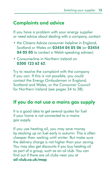# Complaints and advice

If you have a problem with your energy supplier or need advice about dealing with a company, contact:

- the Citizens Advice consumer helpline in England, Scotland or Wales on 03454 04 05 06 (or 03454 04 05 05 to contact a Welsh-speaking adviser)
- Consumerline in Northern Ireland on 0300 123 62 62.

Try to resolve the complaint with the company if you can. If this is not possible, you could contact the Energy Ombudsman in England, Scotland and Wales, or the Consumer Council for Northern Ireland (see pages 34 to 38).

# If you do not use a mains gas supply

It is a good idea to get several quotes for fuel if your home is not connected to a mains gas supply.

If you use heating oil, you may save money by stocking up on fuel early in autumn. This is often cheaper than waiting until winter. But make sure the delivery charge is not higher than your saving. You may also get discounts if you buy heating oil as part of a group, such as an oil club. You can find out if there are oil clubs near you at oil-club.co.uk/map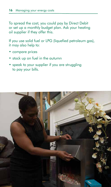To spread the cost, you could pay by Direct Debit or set up a monthly budget plan. Ask your heating oil supplier if they offer this.

If you use solid fuel or LPG (liquefied petroleum gas), it may also help to:

- compare prices
- stock up on fuel in the autumn
- speak to your supplier if you are struggling to pay your bills.

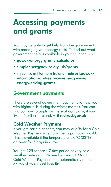# Accessing payments and grants

You may be able to get help from the government with managing your energy costs. To find out what government help is available in your situation, visit:

- gov.uk/energy-grants-calculator
- simpleenergyadvice.org.uk/grants
- if you live in Northern Ireland, nidirect.gov.uk/ information-and-services/energy-wise/ energy-saving-grants

# Government payments

There are several government payments to help you with higher bills during the winter months. You can find out how to apply for these at **gov.uk** or, if you live in Northern Ireland, visit nidirect.gov.uk

### Cold Weather Payment

If you get certain benefits, you may qualify for a Cold Weather Payment when a winter is particularly cold. This is available if the temperature is 0˚C (32˚F) or lower for 7 days in a row.

You get £25 for each 7-day period of very cold weather between 1 November and 31 March. Cold Weather Payments are automatically made on top of your usual benefits.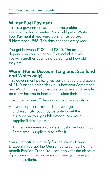#### Winter Fuel Payment

This is a government scheme to help older people keep warm during winter. You could get a Winter Fuel Payment if you were born on or before 5 November 1953. This date changes every year.

You get between £100 and £300. The amount depends on your situation. This includes if you live with another qualifying person and how old they are.

#### Warm Home Discount (England, Scotland and Wales only)

This government policy gives certain people a discount of £140 on their electricity bills between September and March. It helps vulnerable customers and people on a low income to heat and insulate their homes.

- You get a one-off discount on your electricity bill.
- If your supplier provides both your gas and electricity, you may be able to get the discount on your gas bill instead. Ask your supplier if this is possible.
- All the main energy suppliers must give this discount. Some small suppliers also offer it.

You automatically qualify for the Warm Home Discount if you get the Guarantee Credit part of the benefit Pension Credit. You can apply for the discount if you are on a low income and meet your energy supplier's criteria.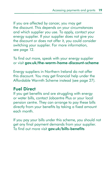If you are affected by cancer, you may aet the discount. This depends on your circumstances and which supplier you use. To apply, contact your energy supplier. If your supplier does not give you the discount or does not offer it, you could consider switching your supplier. For more information, see page 12.

To find out more, speak with your energy supplier or visit gov.uk/the-warm-home-discount-scheme

Energy suppliers in Northern Ireland do not offer this discount. You may get financial help under the Affordable Warmth Scheme instead (see page 27).

#### Fuel Direct

If you get benefits and are struggling with energy or water bills, contact Jobcentre Plus or your local pension centre. They can arrange to pay these bills directly from your benefits by taking a fixed amount each month.

If you pay your bills under this scheme, you should not get any final payment demands from your supplier. To find out more visit gov.uk/bills-benefits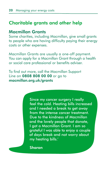### Charitable grants and other help

#### Macmillan Grants

Some charities, including Macmillan, give small grants to people who are having difficulty paying their energy costs or other expenses.

Macmillan Grants are usually a one-off payment. You can apply for a Macmillan Grant through a health or social care professional or benefits adviser.

To find out more, call the Macmillan Support Line on **0808 808 00 00** or go to macmillan.org.uk/grants

> Since my cancer surgery I really feel the cold. Heating bills increased and I needed a break to get away from the intense cancer treatment. Due to the kindness of Macmillan and the lovely people that donate, I got a Macmillan Grant. I am so grateful I was able to enjoy a couple of days break and not worry about my heating bills.'

Sharon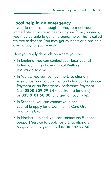#### Local help in an emergency

If you do not have enough money to meet your immediate, short-term needs or your family's needs, you may be able to get emergency help. This is called welfare assistance. You may get vouchers or a pre‑paid card to pay for your energy.

How you apply depends on where you live:

- In England, you can contact your local council to find out if they have a Local Welfare Assistance scheme.
- In Wales, you can contact the Discretionary Assistance Fund to apply for an Individual Assistance Payment or an Emergency Assistance Payment. Call 0800 859 59 24 (free from a landline) or 033 0101 50 00 (charged at local rate).
- In Scotland, you can contact your local council to apply for a Community Care Grant or a Crisis Grant.
- In Northern Ireland, you can contact the Finance Support Service to apply for a Discretionary Support loan or grant. Call 0800 587 27 50.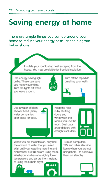# Saving energy at home

There are simple things you can do around your home to reduce your energy costs, as the diagram below shows.

> Insulate your roof to stop heat escaping from the house. You may be eligible for free loft insulation.

Use energy-saving light bulbs. These can save vou money over time. Turn the lights off when you leave a room.



 $...$ 

Turn off the tap while brushing your teeth.

Use a water efficient shower head (many water companies offer these for free).

Keep the heat in by shutting doors and windows in the rooms you use the most. Seal gaps around doors with draught excluders.

When you put the kettle on, only boil the amount of water that you need. Wait until your washing machine and dishwasher are full before using them. Wash your clothes at a slightly lower temperature and air dry them instead of using the tumble dryer.



Turn off computers. TVs and other electrical items when you are not using them. Do not leave them on standby.

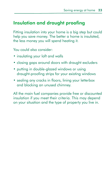# Insulation and draught proofing

Fitting insulation into your home is a big step but could help you save money. The better a home is insulated, the less money you will spend heating it.

You could also consider:

- insulating your loft and walls
- closing gaps around doors with draught excluders
- putting in double-glazed windows or using draught-proofing strips for your existing windows
- sealing any cracks in floors, lining your letterbox and blocking an unused chimney.

All the main fuel companies provide free or discounted insulation if you meet their criteria. This may depend on your situation and the type of property you live in.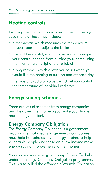# Heating controls

Installing heating controls in your home can help you save money. These may include:

- a thermostat, which measures the temperature in your room and adjusts the boiler
- a smart thermostat, which allows you to manage your central heating from outside your home using the internet, a smartphone or a tablet
- a programmer, which allows you to set when you would like the heating to turn on and off each day
- thermostatic radiator valves, which let you control the temperature of individual radiators.

# Energy saving schemes

There are lots of schemes from energy companies and the government to help you make your home more energy efficient.

### Energy Company Obligation

The Energy Company Obligation is a government programme that means large energy companies must help households save energy. It aims to help vulnerable people and those on a low income make energy-saving improvements to their homes.

You can ask your energy company if they offer help under the Energy Company Obligation programme. This is also called the Affordable Warmth Obligation.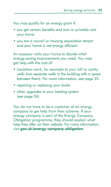You may qualify for an energy grant if:

- you get certain benefits and own or privately rent your home
- you are a council or housing association tenant and your home is not energy efficient.

An assessor visits your home to decide what energy-saving improvements you need. You may aet help with the cost of:

- insulation work, for example to your loft or cavity walls (two separate walls in the building with a space between them). For more information, see page 23.
- repairing or replacing your boiler
- other upgrades to your heating system (see page 24).

You do not have to be a customer of an energy company to get help from their scheme. If your energy company is part of the Energy Company Obligation programme, they should explain what help they offer on their website. For more information, visit gov.uk/energy-company-obligation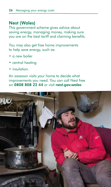### Nest (Wales)

This government scheme gives advice about saving energy, managing money, making sure you are on the best tariff and claiming benefits.

You may also get free home improvements to help save energy, such as:

- a new boiler
- central heating
- insulation.

An assessor visits your home to decide what improvements you need. You can call Nest free on 0808 808 22 44 or visit nest.gov.wales

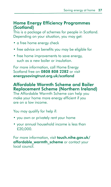#### Home Energy Efficiency Programmes (Scotland)

This is a package of schemes for people in Scotland. Depending on your situation, you may get:

- a free home energy check
- free advice on benefits you may be eligible for
- free home improvements to save energy, such as a new boiler or insulation.

For more information, call Home Energy Scotland free on 0808 808 2282 or visit energysavingtrust.org.uk/scotland

### Affordable Warmth Scheme and Boiler Replacement Scheme (Northern Ireland)

The Affordable Warmth Scheme can help you make your home more energy efficient if you are on a low income.

You may qualify for help if:

- you own or privately rent your home
- your annual household income is less than £20,000.

For more information, visit **touch.nihe.gov.uk/** affordable warmth scheme or contact your local council.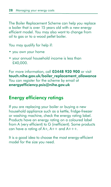The Boiler Replacement Scheme can help you replace a boiler that is over 15 years old with a new energy efficient model. You may also want to change from oil to gas or to a wood pellet boiler.

You may qualify for help if:

- you own your home
- your annual household income is less than £40,000.

For more information, call 03448 920 900 or visit touch.nihe.gov.uk/boiler replacement allowance You can register for the scheme by email at energyefficiency.psis@nihe.gov.uk

### Energy efficiency ratings

If you are replacing your boiler or buying a new household appliance such as a kettle, fridge-freezer or washing machine, check the energy rating label. Products have an energy rating on a coloured label from A (very efficient) to G (inefficient). Some products can have a rating of  $A+, A++$  and  $A+++$ .

It is a good idea to choose the most energy-efficient model for the size you need.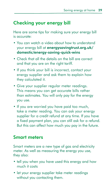# Checking your energy bill

Here are some tips for making sure your energy bill is accurate:

- You can watch a video about how to understand your energy bill at energysavingtrust.org.uk/ domestic/energy-saving-quick-wins
- Check that all the details on the bill are correct and that you are on the right tariff.
- If you think your bill is incorrect, contact your energy supplier and ask them to explain how they calculated it.
- Give your supplier regular meter readings. This means you can get accurate bills rather than estimates. You will only pay for the energy you use.
- If you are worried you have paid too much, take a meter reading. You can ask your energy supplier for a credit refund at any time. If you have a fixed payment plan, you can still ask for a refund. But this can affect how much you pay in the future.

# Smart meters

Smart meters are a new type of gas and electricity meter. As well as measuring the energy you use, they also:

- tell you when you have used this energy and how much it costs
- let your energy supplier take meter readings without you contacting them.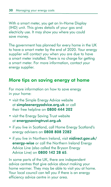With a smart meter, you get an In-Home Display (IHD) unit. This gives details of your gas and electricity use. It may show you where you could save money.

The government has planned for every home in the UK to have a smart meter by the end of 2020. Your energy supplier will contact you when you are due to have a smart meter installed. There is no charge for getting a smart meter. For more information, contact your energy supplier.

### More tips on saving energy at home

For more information on how to save energy in your home:

- visit the Simple Energy Advice website at simpleenergyadvice.org.uk or call their free helpline on 0800 444 202
- visit the Energy Saving Trust website at energysavingtrust.org.uk
- if you live in Scotland, call Home Energy Scotland's energy advisers on 0808 808 2282
- if you live in Northern Ireland, visit nidirect.gov.uk/ energy-wise or call the Northern Ireland Energy Advice Line (also called the Bryson Energy Advice Line) on 0800 142 28 65.

In some parts of the UK, there are independent advice centres that give advice about making your home warmer. They may be able to visit you at home. Your local council can tell you if there is an energy efficiency advice centre in your area.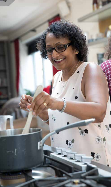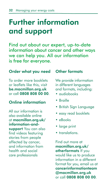# Further information and support

Find out about our expert, up-to-date information about cancer and other ways we can help you. All our information is free for everyone.

#### Order what you need

To order more booklets or leaflets like this, visit be.macmillan.org.uk or call 0808 808 00 00.

#### Online information

All our information is also available online at macmillan.org.uk/ information-andsupport You can also find videos featuring stories from people affected by cancer, and information from health and social care professionals

#### Other formats

We provide information in different languages and formats, including:

- audiobooks
- Braille
- British Sign Language
- easy read booklets
- eBooks
- large print
- translations.

Find out more at macmillan.org.uk/ otherformats If you would like us to produce information in a different format for you, email us at cancerinformationteam @macmillan.org.uk or call 0808 808 00 00.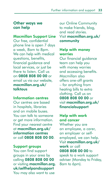#### Other ways we can help

#### Macmillan Support Line

Our free, confidential phone line is open 7 days a week, 8am to 8pm. We can help with medical questions, benefits, financial guidance and local services, or just be there to listen. Call us on 0808 808 00 00 or email us via our website, macmillan.org.uk/ talktous

#### Information centres

Our centres are based in hospitals, libraries and on mobile buses. You can talk to someone or get more information. Find your nearest centre at macmillan.org.uk/ information centres or call 0808 808 00 00.

#### Support groups

You can find support groups in your area by calling 0808 808 00 00 or visiting macmillan.org. uk/selfhelpandsupport You may also want to use

our Online Community to make friends, blog, and read stories. Visit macmillan.org.uk/ community

#### Help with money worries

Our financial guidance team can help you with money worries and accessing benefits. Macmillan also offers one-off grants – for anything from heating bills to extra clothing. Call us on 0808 808 00 00 or visit macmillan.org.uk/ financialsupport

#### Help with work and cancer

Whether you are an employee, a carer, an employer or selfemployed, we can help. Visit macmillan.org.uk/ work or call 0808 808 00 00 to speak to a work support adviser (Monday to Friday, 8am to 6pm).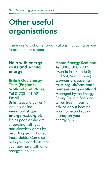# Other useful organisations

There are lots of other organisations that can give you information or support.

#### Help with energy costs and saving energy

British Gas Energy Trust (England, Scotland and Wales) Tel 01733 421 021 Email BritishGasEnergyTrust@ lets-talk.online www.britishgas energytrust.org.uk Helps people who are

struggling with gas and electricity debts by awarding grants to clear those debts. Can also help you clear debts that you may have with other energy suppliers.

Home Energy Scotland Tel 0800 808 2282 (Mon to Fri, 8am to 8pm, and Sat, 9am to 5pm) www.energysaving trust.org.uk/scotland/ home-energy-scotland Managed by the Energy Saving Trust in Scotland. Gives free, impartial advice about heating your home and saving money on your energy bills.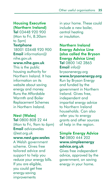#### Housing Executive (Northern Ireland)

Tel 03448 920 900 (Mon to Fri, 8.30am to 5pm) **Textphone** 18001 03448 920 900 **Email** information@ nihe.gov.uk www.nihe.gov.uk This is the public housing authority for Northern Ireland. It has information on its website about saving energy and money. Runs the Affordable Warmth and Boiler Replacement Schemes in Northern Ireland.

#### Nest (Wales)

Tel 0800 808 22 44 (Mon to Fri, 9am to 6pm) Email advicewales @est.org.uk www.nest.gov.wales A Welsh government scheme. Gives free tailored advice and support to help you reduce your energy bills. If you are eligible, you could get free energy‑saving improvements

in your home. These could include a new boiler, central heating or insulation.

Northern Ireland Energy Advice Line (also called the Bryson Energy Advice Line) Tel 0800 142 2865 **Email** info $@$ brysonenergy.org www.brysonenergy.org Run by Bryson Energy and funded by the government in Northern Ireland. Gives free, independent and impartial energy advice to Northern Ireland households. Can also refer you to energy grants and other sources of help in the region.

#### Simple Energy Advice Tel 0800 444 202 www.simpleenergy advice.org.uk

Gives free independent advice, approved by the government, on saving energy in your home.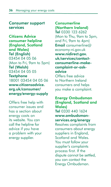#### Consumer support services

Citizens Advice consumer helpline (England, Scotland and Wales) Tel (English) 03454 04 05 06 (Mon to Fri, 9am to 5pm) Tel (Welsh) 03454 04 05 05 **Textphone** 18001 03454 04 05 06 www.citizensadvice. org.uk/consumer/ energy/energy-supply

Offers free help with consumer issues and has a section about energy costs on its website. You can call the helpline for advice if you have a problem with your energy supplier.

**Consumerline** (Northern Ireland) Tel 0330 123 6262 (Mon to Thu, 9am to 5pm, and Fri, 9am to 4pm) **Email** consumerline@ economy-ni.gov.uk www.nidirect.gov. uk/services/contactconsumerline-makecomplaint-or-askadvice Offers free advice to Northern Ireland

consumers and helps you make a complaint.

Energy Ombudsman (England, Scotland and Wales) Tel 0330 440 1624 www.ombudsmanservices.org/energy Resolves complaints from consumers about energy suppliers in England, Scotland and Wales. You must follow your supplier's complaints process first. If the dispute cannot be settled, you can contact the Energy Ombudsman.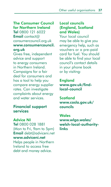#### The Consumer Council for Northern Ireland

Tel 0800 121 6022 Email contact@ consumercouncil.org.uk www.consumercouncil. org.uk

Gives free, independent advice and support to energy consumers in Northern Ireland. Campaigns for a fair deal for consumers and has a tool to help you compare energy supplier rates. Can investigate complaints about energy and water services.

#### Financial support services

#### Advice NI

Tel 0800 028 1881 (Mon to Fri, 9am to 5pm) Email debt@adviceni.net www.adviceni.net Helps people in Northern Ireland to access free debt and money advice.

#### Local councils (England, Scotland and Wales)

Your local council may be able to give you emergency help, such as vouchers or a pre-paid card for fuel. You should be able to find your local council's contact details in your phone book or by visiting:

England www.gov.uk/findlocal-council

**Scotland** www.cosla.gov.uk/ councils

Wales www.wlga.wales/ welsh-local-authoritylinks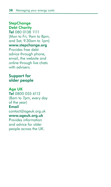#### **StepChange** Debt Charity

Tel 080 0138 1111 (Mon to Fri, 9am to 8pm, and Sat, 9.30am to 1pm) www.stepchange.org Provides free debt advice through phone, email, the website and online through live chats with advisers.

#### Support for older people

#### Age UK

Tel 0800 055 6112 (8am to 7pm, every day of the year) Email contact@ageuk.org.uk www.ageuk.org.uk Provides information and advice for older people across the UK.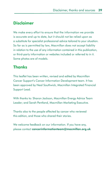#### Disclaimer

We make every effort to ensure that the information we provide is accurate and up to date, but it should not be relied upon as a substitute for specialist professional advice tailored to your situation. So far as is permitted by law, Macmillan does not accept liability in relation to the use of any information contained in this publication, or third-party information or websites included or referred to in it. Some photos are of models.

#### **Thanks**

This leaflet has been written, revised and edited by Macmillan Cancer Support's Cancer Information Development team. It has been approved by Neal Southwick, Macmillan Integrated Financial Support Lead.

With thanks to: Sharon Jackson, Macmillan Energy Advice Team Leader; and Sarah Pentland, Macmillan Marketing Executive.

Thanks also to the people affected by cancer who reviewed this edition, and those who shared their stories.

We welcome feedback on our information. If you have any, please contact cancerinformationteam@macmillan.org.uk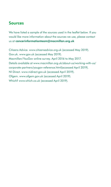#### Sources

We have listed a sample of the sources used in the leaflet below. If you would like more information about the sources we use, please contact us at cancerinformationteam@macmillan.org.uk

Citizens Advice. www.citizensadvice.org.uk (accessed May 2019). Gov.uk. www.gov.uk (accessed May 2019). Macmillan/YouGov online survey. April 2016 to May 2017. Details available at www.macmillan.org.uk/about-us/working-with-us/ corporate-partners/yougov-reference.html(accessed April 2019). NI Direct. www.nidirect.gov.uk (accessed April 2019). Ofgem. www.ofgem.gov.uk (accessed April 2019). Which? www.which.co.uk (accessed April 2019).